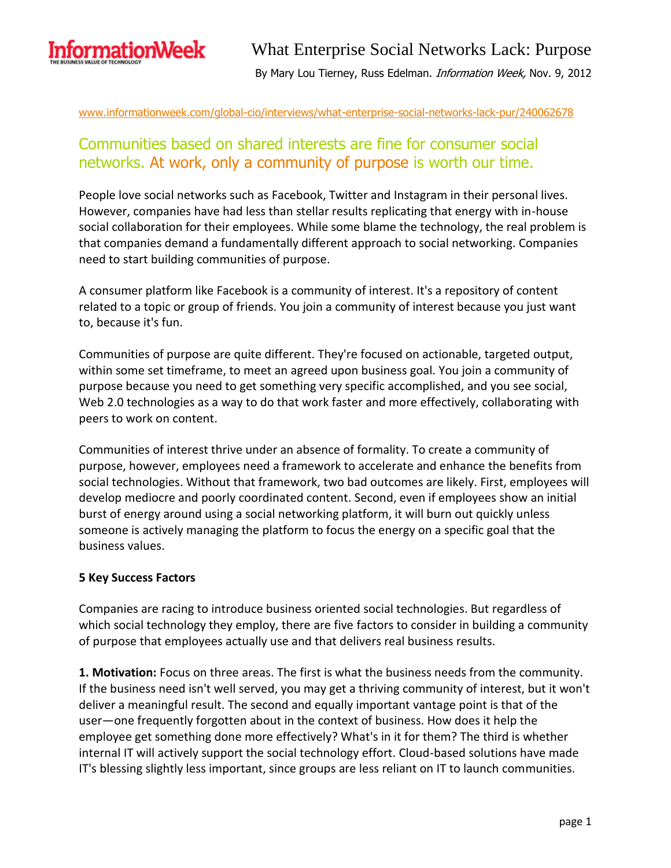

### www.informationweek.com/global-cio/interviews/what-enterprise-social-networks-lack-pur/240062678

### Communities based on shared interests are fine for consumer social networks. At work, only a community of purpose is worth our time.

People love social networks such as Facebook, Twitter and Instagram in their personal lives. However, companies have had less than stellar results replicating that energy with in-house social collaboration for their employees. While some blame the technology, the real problem is that companies demand a fundamentally different approach to social networking. Companies need to start building communities of purpose.

A consumer platform like Facebook is a community of interest. It's a repository of content related to a topic or group of friends. You join a community of interest because you just want to, because it's fun.

Communities of purpose are quite different. They're focused on actionable, targeted output, within some set timeframe, to meet an agreed upon business goal. You join a community of purpose because you need to get something very specific accomplished, and you see social, Web 2.0 technologies as a way to do that work faster and more effectively, collaborating with peers to work on content.

Communities of interest thrive under an absence of formality. To create a community of purpose, however, employees need a framework to accelerate and enhance the benefits from social technologies. Without that framework, two bad outcomes are likely. First, employees will develop mediocre and poorly coordinated content. Second, even if employees show an initial burst of energy around using a social networking platform, it will burn out quickly unless someone is actively managing the platform to focus the energy on a specific goal that the business values.

### **5 Key Success Factors**

Companies are racing to introduce business oriented social technologies. But regardless of which social technology they employ, there are five factors to consider in building a community of purpose that employees actually use and that delivers real business results.

**1. Motivation:** Focus on three areas. The first is what the business needs from the community. If the business need isn't well served, you may get a thriving community of interest, but it won't deliver a meaningful result. The second and equally important vantage point is that of the user—one frequently forgotten about in the context of business. How does it help the employee get something done more effectively? What's in it for them? The third is whether internal IT will actively support the social technology effort. Cloud-based solutions have made IT's blessing slightly less important, since groups are less reliant on IT to launch communities.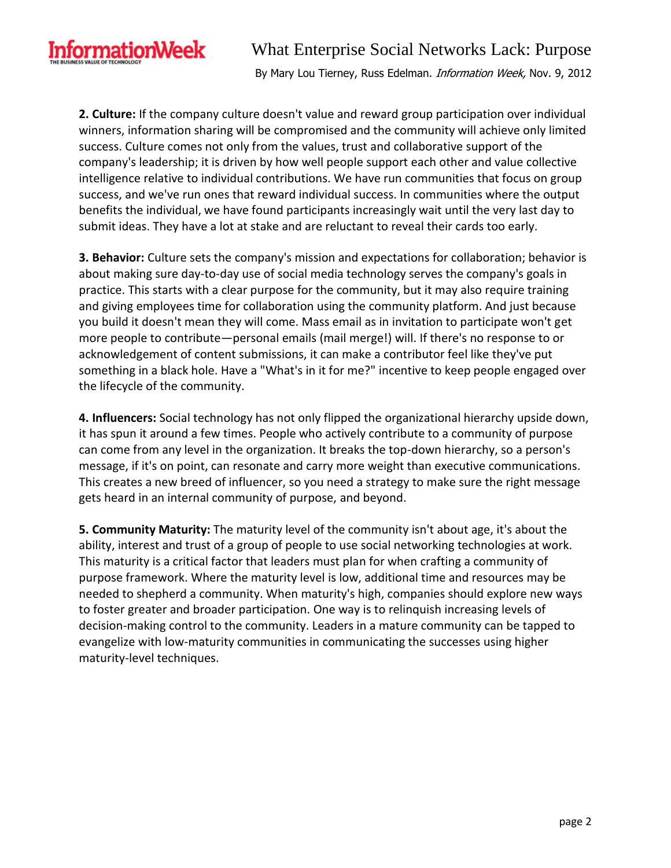

## What Enterprise Social Networks Lack: Purpose

By Mary Lou Tierney, Russ Edelman. Information Week, Nov. 9, 2012

**2. Culture:** If the company culture doesn't value and reward group participation over individual winners, information sharing will be compromised and the community will achieve only limited success. Culture comes not only from the values, trust and collaborative support of the company's leadership; it is driven by how well people support each other and value collective intelligence relative to individual contributions. We have run communities that focus on group success, and we've run ones that reward individual success. In communities where the output benefits the individual, we have found participants increasingly wait until the very last day to submit ideas. They have a lot at stake and are reluctant to reveal their cards too early.

**3. Behavior:** Culture sets the company's mission and expectations for collaboration; behavior is about making sure day-to-day use of social media technology serves the company's goals in practice. This starts with a clear purpose for the community, but it may also require training and giving employees time for collaboration using the community platform. And just because you build it doesn't mean they will come. Mass email as in invitation to participate won't get more people to contribute—personal emails (mail merge!) will. If there's no response to or acknowledgement of content submissions, it can make a contributor feel like they've put something in a black hole. Have a "What's in it for me?" incentive to keep people engaged over the lifecycle of the community.

**4. Influencers:** Social technology has not only flipped the organizational hierarchy upside down, it has spun it around a few times. People who actively contribute to a community of purpose can come from any level in the organization. It breaks the top-down hierarchy, so a person's message, if it's on point, can resonate and carry more weight than executive communications. This creates a new breed of influencer, so you need a strategy to make sure the right message gets heard in an internal community of purpose, and beyond.

**5. Community Maturity:** The maturity level of the community isn't about age, it's about the ability, interest and trust of a group of people to use social networking technologies at work. This maturity is a critical factor that leaders must plan for when crafting a community of purpose framework. Where the maturity level is low, additional time and resources may be needed to shepherd a community. When maturity's high, companies should explore new ways to foster greater and broader participation. One way is to relinquish increasing levels of decision-making control to the community. Leaders in a mature community can be tapped to evangelize with low-maturity communities in communicating the successes using higher maturity-level techniques.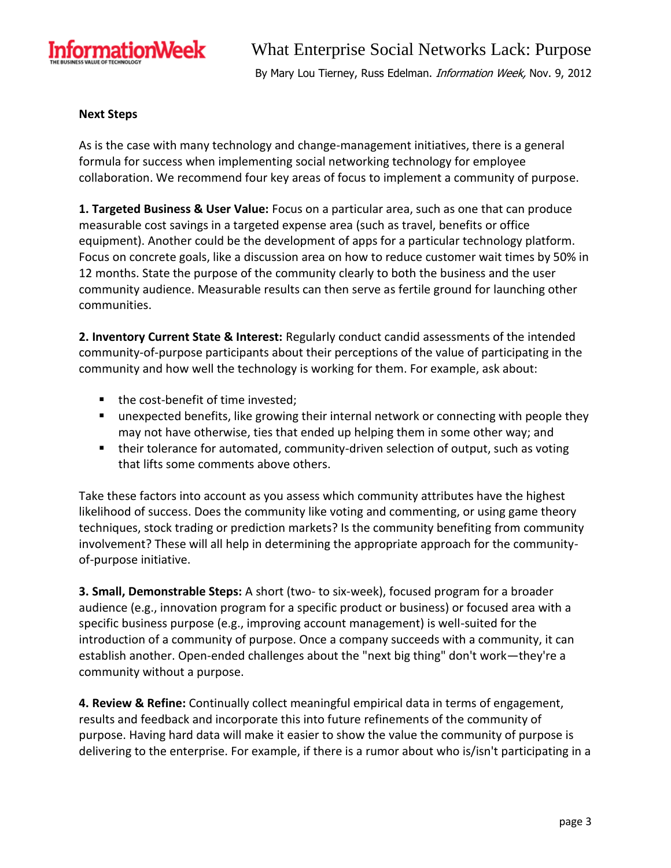

### **Next Steps**

As is the case with many technology and change-management initiatives, there is a general formula for success when implementing social networking technology for employee collaboration. We recommend four key areas of focus to implement a community of purpose.

**1. Targeted Business & User Value:** Focus on a particular area, such as one that can produce measurable cost savings in a targeted expense area (such as travel, benefits or office equipment). Another could be the development of apps for a particular technology platform. Focus on concrete goals, like a discussion area on how to reduce customer wait times by 50% in 12 months. State the purpose of the community clearly to both the business and the user community audience. Measurable results can then serve as fertile ground for launching other communities.

**2. Inventory Current State & Interest:** Regularly conduct candid assessments of the intended community-of-purpose participants about their perceptions of the value of participating in the community and how well the technology is working for them. For example, ask about:

- the cost-benefit of time invested;
- **EXED** unexpected benefits, like growing their internal network or connecting with people they may not have otherwise, ties that ended up helping them in some other way; and
- **their tolerance for automated, community-driven selection of output, such as voting** that lifts some comments above others.

Take these factors into account as you assess which community attributes have the highest likelihood of success. Does the community like voting and commenting, or using game theory techniques, stock trading or prediction markets? Is the community benefiting from community involvement? These will all help in determining the appropriate approach for the communityof-purpose initiative.

**3. Small, Demonstrable Steps:** A short (two- to six-week), focused program for a broader audience (e.g., innovation program for a specific product or business) or focused area with a specific business purpose (e.g., improving account management) is well-suited for the introduction of a community of purpose. Once a company succeeds with a community, it can establish another. Open-ended challenges about the "next big thing" don't work—they're a community without a purpose.

**4. Review & Refine:** Continually collect meaningful empirical data in terms of engagement, results and feedback and incorporate this into future refinements of the community of purpose. Having hard data will make it easier to show the value the community of purpose is delivering to the enterprise. For example, if there is a rumor about who is/isn't participating in a